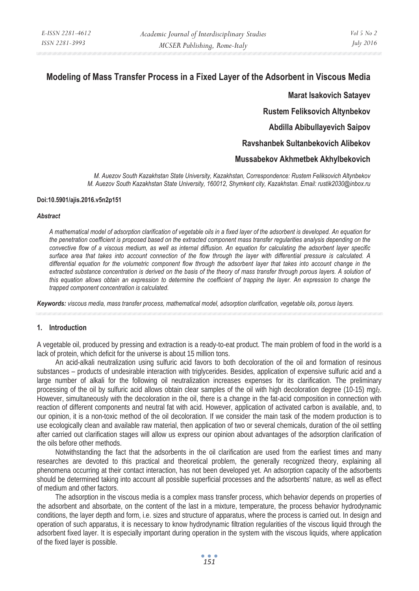# **Modeling of Mass Transfer Process in a Fixed Layer of the Adsorbent in Viscous Media**

**Marat Isakovich Satayev Rustem Feliksovich Altynbekov Abdilla Abibullayevich Saipov Ravshanbek Sultanbekovich Alibekov Mussabekov Akhmetbek Akhylbekovich** 

*M. Auezov South Kazakhstan State University, Kazakhstan, Correspondence: Rustem Feliksovich Altynbekov M. Auezov South Kazakhstan State University, 160012, Shymkent city, Kazakhstan. Email: rustik2030@inbox.ru* 

## **Doi:10.5901/ajis.2016.v5n2p151**

#### *Abstract*

*A mathematical model of adsorption clarification of vegetable oils in a fixed layer of the adsorbent is developed. An equation for the penetration coefficient is proposed based on the extracted component mass transfer regularities analysis depending on the convective flow of a viscous medium, as well as internal diffusion. An equation for calculating the adsorbent layer specific surface area that takes into account connection of the flow through the layer with differential pressure is calculated. A differential equation for the volumetric component flow through the adsorbent layer that takes into account change in the*  extracted substance concentration is derived on the basis of the theory of mass transfer through porous layers. A solution of *this equation allows obtain an expression to determine the coefficient of trapping the layer. An expression to change the trapped component concentration is calculated.* 

*Keywords: viscous media, mass transfer process, mathematical model, adsorption clarification, vegetable oils, porous layers.*

## **1. Introduction**

A vegetable oil, produced by pressing and extraction is a ready-to-eat product. The main problem of food in the world is a lack of protein, which deficit for the universe is about 15 million tons.

An acid-alkali neutralization using sulfuric acid favors to both decoloration of the oil and formation of resinous substances – products of undesirable interaction with triglycerides. Besides, application of expensive sulfuric acid and a large number of alkali for the following oil neutralization increases expenses for its clarification. The preliminary processing of the oil by sulfuric acid allows obtain clear samples of the oil with high decoloration degree (10-15) mg*I*2. However, simultaneously with the decoloration in the oil, there is a change in the fat-acid composition in connection with reaction of different components and neutral fat with acid. However, application of activated carbon is available, and, to our opinion, it is a non-toxic method of the oil decoloration. If we consider the main task of the modern production is to use ecologically clean and available raw material, then application of two or several chemicals, duration of the oil settling after carried out clarification stages will allow us express our opinion about advantages of the adsorption clarification of the oils before other methods.

Notwithstanding the fact that the adsorbents in the oil clarification are used from the earliest times and many researches are devoted to this practical and theoretical problem, the generally recognized theory, explaining all phenomena occurring at their contact interaction, has not been developed yet. An adsorption capacity of the adsorbents should be determined taking into account all possible superficial processes and the adsorbents' nature, as well as effect of medium and other factors.

The adsorption in the viscous media is a complex mass transfer process, which behavior depends on properties of the adsorbent and absorbate, on the content of the last in a mixture, temperature, the process behavior hydrodynamic conditions, the layer depth and form, i.e. sizes and structure of apparatus, where the process is carried out. In design and operation of such apparatus, it is necessary to know hydrodynamic filtration regularities of the viscous liquid through the adsorbent fixed layer. It is especially important during operation in the system with the viscous liquids, where application of the fixed layer is possible.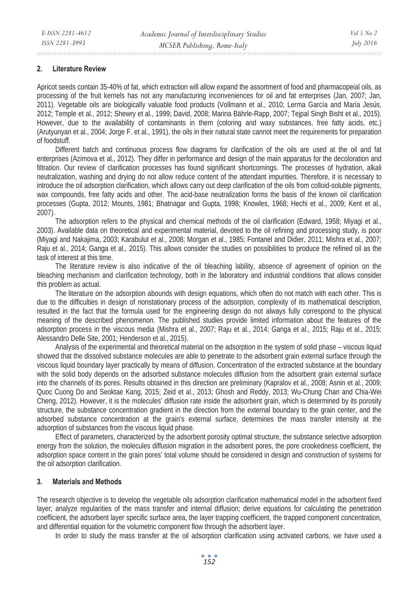#### **2. Literature Review**

Apricot seeds contain 35-40% of fat, which extraction will allow expand the assortment of food and pharmacopeial oils, as processing of the fruit kernels has not any manufacturing inconveniences for oil and fat enterprises (Jan, 2007; Jan, 2011). Vegetable oils are biologically valuable food products (Vollmann et al., 2010; Lerma García and María Jesús, 2012; Temple et al., 2012; Shewry et al., 1999; David, 2008; Marina Bährle-Rapp, 2007; Tejpal Singh Bisht et al., 2015). However, due to the availability of contaminants in them (coloring and waxy substances, free fatty acids, etc.) (Arutyunyan et al., 2004; Jorge F. et al., 1991), the oils in their natural state cannot meet the requirements for preparation of foodstuff.

Different batch and continuous process flow diagrams for clarification of the oils are used at the oil and fat enterprises (Azimova et al., 2012). They differ in performance and design of the main apparatus for the decoloration and filtration. Our review of clarification processes has found significant shortcomings. The processes of hydration, alkali neutralization, washing and drying do not allow reduce content of the attendant impurities. Therefore, it is necessary to introduce the oil adsorption clarification, which allows carry out deep clarification of the oils from colloid-soluble pigments, wax compounds, free fatty acids and other. The acid-base neutralization forms the basis of the known oil clarification processes (Gupta, 2012; Mounts, 1981; Bhatnagar and Gupta, 1998; Knowles, 1968; Hechi et al., 2009; Kent et al., 2007).

The adsorption refers to the physical and chemical methods of the oil clarification (Edward, 1958; Miyagi et al., 2003). Available data on theoretical and experimental material, devoted to the oil refining and processing study, is poor (Miyagi and Nakajima, 2003; Karabulut et al., 2008; Morgan et al., 1985; Fontanel and Didier, 2011; Mishra et al., 2007; Raju et al., 2014; Ganga et al., 2015). This allows consider the studies on possibilities to produce the refined oil as the task of interest at this time.

The literature review is also indicative of the oil bleaching lability, absence of agreement of opinion on the bleaching mechanism and clarification technology, both in the laboratory and industrial conditions that allows consider this problem as actual.

The literature on the adsorption abounds with design equations, which often do not match with each other. This is due to the difficulties in design of nonstationary process of the adsorption, complexity of its mathematical description, resulted in the fact that the formula used for the engineering design do not always fully correspond to the physical meaning of the described phenomenon. The published studies provide limited information about the features of the adsorption process in the viscous media (Mishra et al., 2007; Raju et al., 2014; Ganga et al., 2015; Raju et al., 2015; Alessandro Delle Site, 2001; Henderson et al., 2015).

Analysis of the experimental and theoretical material on the adsorption in the system of solid phase – viscous liquid showed that the dissolved substance molecules are able to penetrate to the adsorbent grain external surface through the viscous liquid boundary layer practically by means of diffusion. Concentration of the extracted substance at the boundary with the solid body depends on the adsorbed substance molecules diffusion from the adsorbent grain external surface into the channels of its pores. Results obtained in this direction are preliminary (Kapralov et al., 2008; Asnin et al., 2009; Quoc Cuong Do and Seoktae Kang, 2015; Zeid et al., 2013; Ghosh and Reddy, 2013; Wu-Chung Chan and Chia-Wei Cheng, 2012). However, it is the molecules' diffusion rate inside the adsorbent grain, which is determined by its porosity structure, the substance concentration gradient in the direction from the external boundary to the grain center, and the adsorbed substance concentration at the grain's external surface, determines the mass transfer intensity at the adsorption of substances from the viscous liquid phase.

Effect of parameters, characterized by the adsorbent porosity optimal structure, the substance selective adsorption energy from the solution, the molecules diffusion migration in the adsorbent pores, the pore crookedness coefficient, the adsorption space content in the grain pores' total volume should be considered in design and construction of systems for the oil adsorption clarification.

## **3. Materials and Methods**

The research objective is to develop the vegetable oils adsorption clarification mathematical model in the adsorbent fixed layer; analyze regularities of the mass transfer and internal diffusion; derive equations for calculating the penetration coefficient, the adsorbent layer specific surface area, the layer trapping coefficient, the trapped component concentration, and differential equation for the volumetric component flow through the adsorbent layer.

In order to study the mass transfer at the oil adsorption clarification using activated carbons, we have used a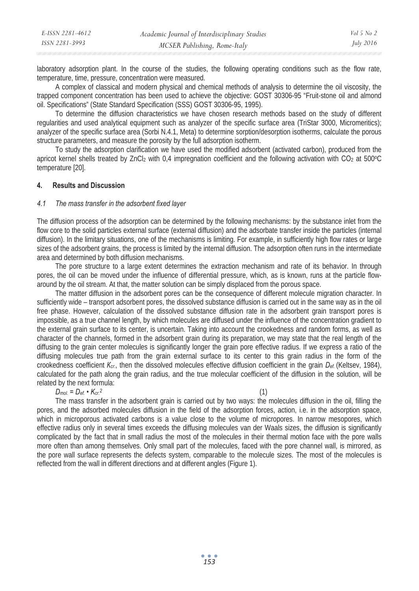| E-ISSN 2281-4612 | Academic Journal of Interdisciplinary Studies | Vol 5 No 2       |
|------------------|-----------------------------------------------|------------------|
| ISSN 2281-3993   | MCSER Publishing, Rome-Italy                  | <i>July 2016</i> |

laboratory adsorption plant. In the course of the studies, the following operating conditions such as the flow rate, temperature, time, pressure, concentration were measured.

A complex of classical and modern physical and chemical methods of analysis to determine the oil viscosity, the trapped component concentration has been used to achieve the objective: GOST 30306-95 "Fruit-stone oil and almond oil. Specifications" (State Standard Specification (SSS) GOST 30306-95, 1995).

To determine the diffusion characteristics we have chosen research methods based on the study of different regularities and used analytical equipment such as analyzer of the specific surface area (TriStar 3000, Micromeritics); analyzer of the specific surface area (Sorbi N.4.1, Meta) to determine sorption/desorption isotherms, calculate the porous structure parameters, and measure the porosity by the full adsorption isotherm.

To study the adsorption clarification we have used the modified adsorbent (activated carbon), produced from the apricot kernel shells treated by ZnCl<sub>2</sub> with 0,4 impregnation coefficient and the following activation with  $CO<sub>2</sub>$  at 500<sup>°</sup>C temperature [20].

## **4. Results and Discussion**

## *4.1 The mass transfer in the adsorbent fixed layer*

The diffusion process of the adsorption can be determined by the following mechanisms: by the substance inlet from the flow core to the solid particles external surface (external diffusion) and the adsorbate transfer inside the particles (internal diffusion). In the limitary situations, one of the mechanisms is limiting. For example, in sufficiently high flow rates or large sizes of the adsorbent grains, the process is limited by the internal diffusion. The adsorption often runs in the intermediate area and determined by both diffusion mechanisms.

The pore structure to a large extent determines the extraction mechanism and rate of its behavior. In through pores, the oil can be moved under the influence of differential pressure, which, as is known, runs at the particle flowaround by the oil stream. At that, the matter solution can be simply displaced from the porous space.

The matter diffusion in the adsorbent pores can be the consequence of different molecule migration character. In sufficiently wide – transport adsorbent pores, the dissolved substance diffusion is carried out in the same way as in the oil free phase. However, calculation of the dissolved substance diffusion rate in the adsorbent grain transport pores is impossible, as a true channel length, by which molecules are diffused under the influence of the concentration gradient to the external grain surface to its center, is uncertain. Taking into account the crookedness and random forms, as well as character of the channels, formed in the adsorbent grain during its preparation, we may state that the real length of the diffusing to the grain center molecules is significantly longer the grain pore effective radius. If we express a ratio of the diffusing molecules true path from the grain external surface to its center to this grain radius in the form of the crookedness coefficient *K<sub>cr.*</sub>, then the dissolved molecules effective diffusion coefficient in the grain *D<sub>ef.</sub>* (Keltsev, 1984), calculated for the path along the grain radius, and the true molecular coefficient of the diffusion in the solution, will be related by the next formula:

## $D_{mol.} = D_{\text{ef.}} \cdot K_{cr.}^2$  (1)

The mass transfer in the adsorbent grain is carried out by two ways: the molecules diffusion in the oil, filling the pores, and the adsorbed molecules diffusion in the field of the adsorption forces, action, i.e. in the adsorption space, which in microporous activated carbons is a value close to the volume of micropores. In narrow mesopores, which effective radius only in several times exceeds the diffusing molecules van der Waals sizes, the diffusion is significantly complicated by the fact that in small radius the most of the molecules in their thermal motion face with the pore walls more often than among themselves. Only small part of the molecules, faced with the pore channel wall, is mirrored, as the pore wall surface represents the defects system, comparable to the molecule sizes. The most of the molecules is reflected from the wall in different directions and at different angles (Figure 1).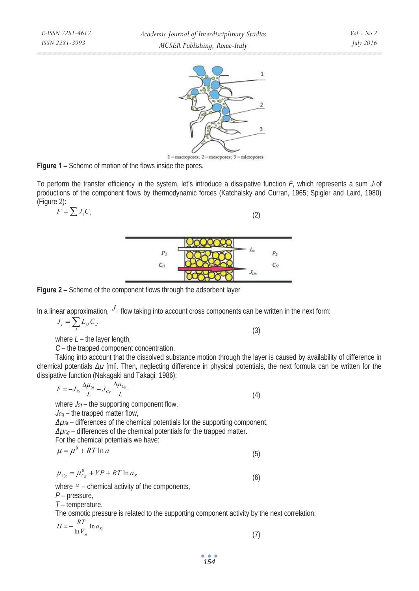

1-macropores; 2-mesopores; 3-micropores

**Figure 1 –** Scheme of motion of the flows inside the pores.

To perform the transfer efficiency in the system, let's introduce a dissipative function *F*, which represents a sum *Ji* of productions of the component flows by thermodynamic forces (Katchalsky and Curran, 1965; Spigler and Laird, 1980) (Figure 2):

$$
F = \sum J_i C_i
$$



**Figure 2 –** Scheme of the component flows through the adsorbent layer

In a linear approximation,  $J_i$  flow taking into account cross components can be written in the next form:

(2)

$$
J_i = \sum_J L_{ij} C_J
$$

where  $L$  – the layer length,

*ɋ* – the trapped component concentration.

Taking into account that the dissolved substance motion through the layer is caused by availability of difference in chemical potentials  $\Delta \mu$  [mi]. Then, neglecting difference in physical potentials, the next formula can be written for the dissipative function (Nakagaki and Takagi, 1986):

$$
F = -J_{ss} \frac{\Delta \mu_{cs}}{L} - J_{cs} \frac{\Delta \mu_{cs}}{L}
$$
 (4)  
where  $J_{st}$  - the supporting component flow,  
 $J_{cg}$  - the trapped matter flow,  
 $\Delta \mu_{st}$  - differences of the chemical potentials for the supporting component,  
 $\Delta \mu_{cg}$  - differences of the chemical potentials for the trapped matter.  
For the chemical potentials we have:

$$
\mu = \mu^{\circ} + RT \ln a \tag{5}
$$

$$
\mu_{Cg} = \mu_{Cg}^0 + \overline{V}P + RT \ln a_S \tag{6}
$$

where  $a$  – chemical activity of the components,

*Ɋ* – pressure,

*Ɍ* – temperature.

The osmotic pressure is related to the supporting component activity by the next correlation:

$$
\Pi = -\frac{RT}{\ln \overline{V}_{St}} \ln a_{St} \tag{7}
$$

(3)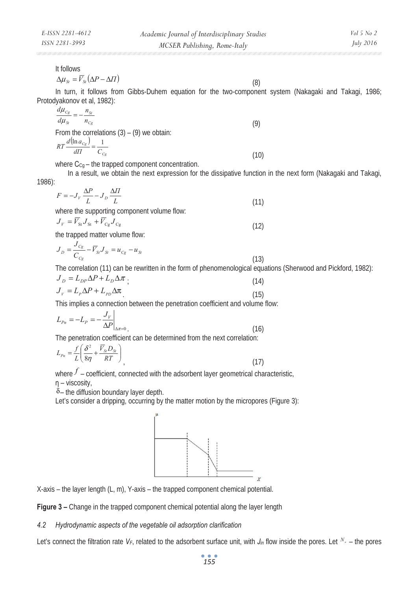(8)

It follows

$$
\Delta \mu_{\scriptscriptstyle St} = \overline{V}_{\scriptscriptstyle St} \left( \Delta P - \Delta \Pi \right)
$$

In turn, it follows from Gibbs-Duhem equation for the two-component system (Nakagaki and Takagi, 1986; Protodyakonov et al, 1982):

$$
\frac{d\mu_{C_g}}{d\mu_{S}} = -\frac{n_{St}}{n_{C_g}}
$$
\n
$$
\text{From the correlations (3) - (9) we obtain:}
$$
\n
$$
RT\frac{d(\ln a_{C_g})}{d\Pi} = \frac{1}{C_{C_g}}
$$
\n
$$
(10)
$$

where  $C_{Cq}$  – the trapped component concentration.

 In a result, we obtain the next expression for the dissipative function in the next form (Nakagaki and Takagi, 1986):

$$
F = -J_V \frac{\Delta P}{L} - J_D \frac{\Delta \Pi}{L}
$$
  
where the supporting component volume flow: (11)

$$
J_V = \overline{V}_{\text{St}} J_{\text{St}} + \overline{V}_{\text{Cg}} J_{\text{Cg}}
$$
\n
$$
\tag{12}
$$

the trapped matter volume flow:

$$
J_D = \frac{J_{C_g}}{C_{C_g}} - \overline{V}_{St} J_{St} = u_{C_g} - u_{St}
$$
\n(13)

The correlation (11) can be rewritten in the form of phenomenological equations (Sherwood and Pickford, 1982):

$$
J_D = L_{DP} \Delta P + L_D \Delta \pi \tag{14}
$$
  
\n
$$
J_V = L_P \Delta P + L_{PD} \Delta \pi \tag{15}
$$

This implies a connection between the penetration coefficient and volume flow:

$$
L_{p_n} = -L_p = -\frac{J_V}{\Delta P}\Big|_{\Delta \pi = 0} \tag{16}
$$

The penetration coefficient can be determined from the next correlation:

$$
L_{Pn} = \frac{f}{L} \left( \frac{\delta^2}{8\eta} + \frac{\overline{V}_{\rm S} D_{\rm S}}{RT} \right)
$$
\n(17)

where  $f$  – coefficient, connected with the adsorbent layer geometrical characteristic,  $\eta$  – viscosity,

 $\delta$  – the diffusion boundary layer depth.

Let's consider a dripping, occurring by the matter motion by the micropores (Figure 3):



X-axis – the layer length (L, m), Y-axis – the trapped component chemical potential.

**Figure 3 –** Change in the trapped component chemical potential along the layer length

#### *4.2 Hydrodynamic aspects of the vegetable oil adsorption clarification*

Let's connect the filtration rate  $V_F$ , related to the adsorbent surface unit, with  $J_m$  flow inside the pores. Let  $N_a$  – the pores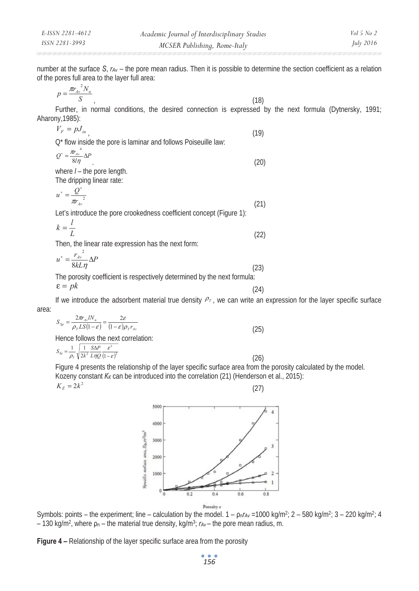∗

number at the surface *S*, *rAv* – the pore mean radius. Then it is possible to determine the section coefficient as a relation of the pores full area to the layer full area:

$$
p = \frac{\pi r_{Av}^2 N_n}{S} \tag{18}
$$

Further, in normal conditions, the desired connection is expressed by the next formula (Dytnersky, 1991; Aharony,1985):

$$
V_F = pJ_{in}
$$
\n(19)\n
$$
Q^* \text{ flow inside the pore is laminar and follows Poiseuille law:}
$$
\n
$$
Q^* = \frac{m_{in}^4}{8l\eta} \Delta P
$$
\nwhere  $l$  - the pore length. (20)\nwhere  $l$  - the proper length. The dropping linear rate:

$$
u^* = \frac{Q^*}{m_{u^*}^2}
$$
\n
$$
u^* = \frac{Q^*}{m_{u^*}^2}
$$
\n(21)

Let's introduce the pore crookedness coefficient concept (Figure 1):

$$
k = \frac{l}{L}
$$
 (22)

Then, the linear rate expression has the next form:

$$
u^* = \frac{r_{Av}^2}{8kL\eta} \Delta P
$$
\n
$$
\Gamma \tag{23}
$$

The porosity coefficient is respectively determined by the next formula:  $(24)$ ε = *pk*

If we introduce the adsorbent material true density  $P_T$ , we can write an expression for the layer specific surface area:

$$
S_{\rm Sp} = \frac{2\pi r_{\rm dv} I N_{\rm n}}{\rho_{\rm r} L S (1 - \varepsilon)} = \frac{2\varepsilon}{(1 - \varepsilon)\rho_{\rm r} r_{\rm dv}}
$$
(25)

Hence follows the next correlation:

$$
S_{\rm Sp} = \frac{1}{\rho_r} \sqrt{\frac{1}{2k^2} \frac{S\Delta P}{L\eta Q} \frac{\varepsilon^3}{(1-\varepsilon)^2}}
$$
(26)

Figure 4 presents the relationship of the layer specific surface area from the porosity calculated by the model. Kozeny constant *K<sub>K</sub>* can be introduced into the correlation (21) (Henderson et al., 2015):

$$
K_{\hat{E}} = 2k^2
$$



Symbols: points – the experiment; line – calculation by the model.  $1 - \rho_n r_{Av} = 1000 \text{ kg/m}^2$ ;  $2 - 580 \text{ kg/m}^2$ ;  $3 - 220 \text{ kg/m}^2$ ;  $4$  $-130$  kg/m<sup>2</sup>, where  $\rho_n$  – the material true density, kg/m<sup>3</sup>;  $r_{Av}$  – the pore mean radius, m.

**Figure 4 –** Relationship of the layer specific surface area from the porosity

*156*

(27)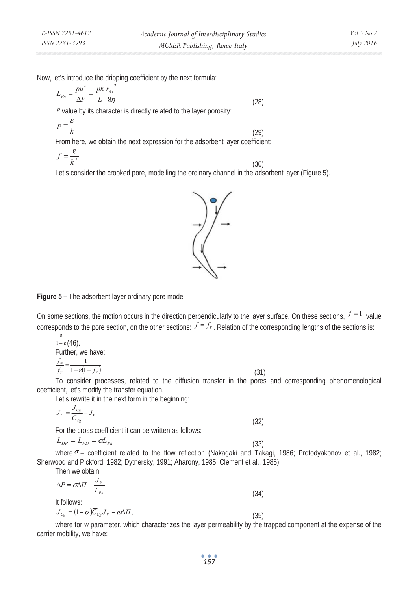∗

Now, let's introduce the dripping coefficient by the next formula:

$$
L_{Pn} = \frac{pu^*}{\Delta P} = \frac{pk}{L} \frac{r_{Av}^2}{8\eta}
$$
\n
$$
(28)
$$

 *value by its character is directly related to the layer porosity:* 

$$
p = \frac{\varepsilon}{k} \tag{29}
$$

From here, we obtain the next expression for the adsorbent layer coefficient:

$$
f = \frac{\varepsilon}{k^2} \tag{30}
$$

Let's consider the crooked pore, modelling the ordinary channel in the adsorbent layer (Figure 5).



# **Figure 5 –** The adsorbent layer ordinary pore model

On some sections, the motion occurs in the direction perpendicularly to the layer surface. On these sections,  $f = 1$  value corresponds to the pore section, on the other sections:  $f = f_r$ . Relation of the corresponding lengths of the sections is:

$$
\frac{\varepsilon}{1-\varepsilon}(46).
$$
  
Further, we have:  

$$
\frac{f_m}{f_r} = \frac{1}{1-\varepsilon(1-f_r)}
$$
(31)  
To consider processes related to the diffusion transfer in the priors and

To consider processes, related to the diffusion transfer in the pores and corresponding phenomenological coefficient, let's modify the transfer equation.

Let's rewrite it in the next form in the beginning:

$$
J_{D} = \frac{J_{Cg}}{C_{Cg}} - J_{V}
$$
\n(32)

For the cross coefficient it can be written as follows:

$$
L_{DP} = L_{PD} = \sigma L_{Pn} \tag{33}
$$

where  $\sigma$  – coefficient related to the flow reflection (Nakagaki and Takagi, 1986; Protodyakonov et al., 1982; Sherwood and Pickford, 1982; Dytnersky, 1991; Aharony, 1985; Clement et al., 1985).

Then we obtain:

$$
\Delta P = \sigma \Delta \Pi - \frac{J_V}{L_{Pn}} \tag{34}
$$
  
It follows:  

$$
J_{Cg} = (1 - \sigma) \overline{C}_{Cg} J_V - \omega \Delta \Pi,
$$
 (35)

where for *w* parameter, which characterizes the layer permeability by the trapped component at the expense of the carrier mobility, we have: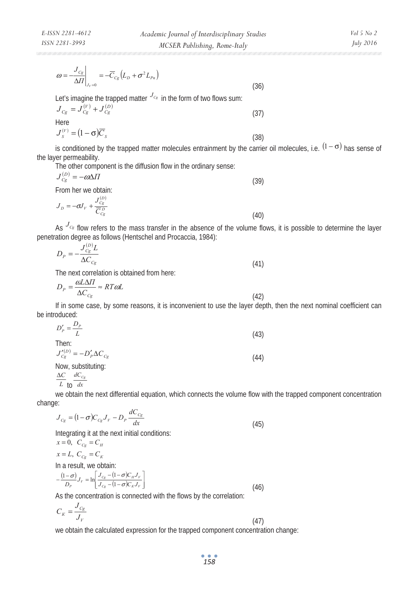Let's imagine the trapped matter 
$$
J_{C_g}
$$
 in the form of two flows sum:  
\n $J_{C_g} = J_{C_g}^{(V)} + J_{C_g}^{(D)}$  (37)  
\nHere  
\n $J_s^{(V)} = (1 - \sigma)\overline{C}_s$  (38)

is conditioned by the trapped matter molecules entrainment by the carrier oil molecules, i.e.  $^{(1-\sigma)}$  has sense of the layer permeability.

(36)

The other component is the diffusion flow in the ordinary sense:

$$
J_{Cg}^{(D)} = -\omega \Delta \Pi
$$
\nFrom her we obtain:

\n
$$
J_D = -\sigma J_V + \frac{J_{Cg}^{(D)}}{\overline{C}_{Cg}^D}
$$
\n(40)

As  $^{J_{C_g}}$  flow refers to the mass transfer in the absence of the volume flows, it is possible to determine the layer penetration degree as follows (Hentschel and Procaccia, 1984):

$$
D_P = -\frac{J_{C_S}^{(D)} L}{\Delta C_{C_S}}\tag{41}
$$

The next correlation is obtained from here:

$$
D_P = \frac{\omega L \Delta \Pi}{\Delta C_{Cg}} \approx RT \omega L \tag{42}
$$

If in some case, by some reasons, it is inconvenient to use the layer depth, then the next nominal coefficient can be introduced:

$$
D'_{P} = \frac{D_{P}}{L}
$$
  
Then:  

$$
J'_{Cg}^{(D)} = -D'_{P} \Delta C_{Cg}
$$
  
Now, substituting: (44)

 $\Delta C$   $dC_{Cg}$ 

$$
L
$$
 to  $dx$ 

we obtain the next differential equation, which connects the volume flow with the trapped component concentration change:  $\overline{d}$ 

$$
J_{C_g} = (1 - \sigma)C_{C_g}J_V - D_P \frac{dC_{C_g}}{dx}
$$
\n(45)

Integrating it at the next initial conditions:

$$
x = 0, C_{Cg} = C_H
$$
  
\n
$$
x = L, C_{Cg} = C_K
$$
  
\nIn a result, we obtain:  
\n
$$
-\frac{(1-\sigma)}{D_p}J_v = \ln \left[\frac{J_{Cg} - (1-\sigma)C_HJ_v}{J_{Cg} - (1-\sigma)C_KJ_v}\right]
$$
\n(46)

As the concentration is connected with the flows by the correlation:

$$
C_K = \frac{J_{Cg}}{J_V} \tag{47}
$$

we obtain the calculated expression for the trapped component concentration change:

*158*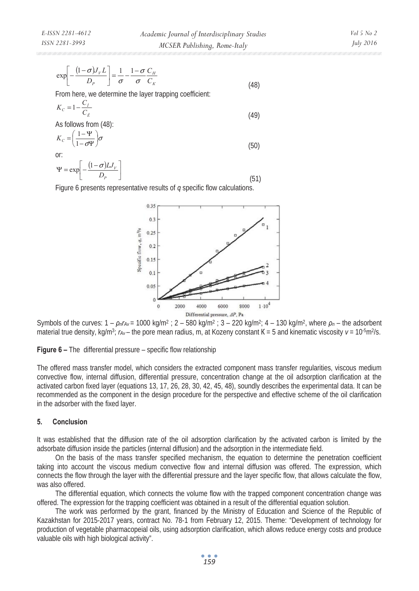$$
\exp\left[-\frac{(1-\sigma)J_{V}L}{D_{P}}\right] = \frac{1}{\sigma} - \frac{1-\sigma}{\sigma} \frac{C_{H}}{C_{K}}
$$
\n(48)

From here, we determine the layer trapping coefficient:

$$
K_c = 1 - \frac{C_i}{C_{\hat{E}}} \tag{49}
$$

As follows from (48):

$$
K_c = \left(\frac{1 - \Psi}{1 - \sigma \Psi}\right)\sigma\tag{50}
$$

or:

$$
\Psi = \exp\left[-\frac{(1-\sigma)LJ_{V}}{D_{P}}\right]
$$
\n(51)

Figure 6 presents representative results of *q* specific flow calculations.



Symbols of the curves: 1 – *ȡnrAv* = 1000 kg/m2 ; 2 – 580 kg/m2 ; 3 – 220 kg/m2; 4 – 130 kg/m2, where *ȡn* – the adsorbent material true density,  $kg/m^3$ ;  $r_{Av}$  – the pore mean radius, m, at Kozeny constant  $K = 5$  and kinematic viscosity  $v = 10^{-5}m^2/s$ .

**Figure 6 –** The differential pressure – specific flow relationship

The offered mass transfer model, which considers the extracted component mass transfer regularities, viscous medium convective flow, internal diffusion, differential pressure, concentration change at the oil adsorption clarification at the activated carbon fixed layer (equations 13, 17, 26, 28, 30, 42, 45, 48), soundly describes the experimental data. It can be recommended as the component in the design procedure for the perspective and effective scheme of the oil clarification in the adsorber with the fixed layer.

#### **5. Conclusion**

It was established that the diffusion rate of the oil adsorption clarification by the activated carbon is limited by the adsorbate diffusion inside the particles (internal diffusion) and the adsorption in the intermediate field.

On the basis of the mass transfer specified mechanism, the equation to determine the penetration coefficient taking into account the viscous medium convective flow and internal diffusion was offered. The expression, which connects the flow through the layer with the differential pressure and the layer specific flow, that allows calculate the flow, was also offered.

The differential equation, which connects the volume flow with the trapped component concentration change was offered. The expression for the trapping coefficient was obtained in a result of the differential equation solution.

The work was performed by the grant, financed by the Ministry of Education and Science of the Republic of Kazakhstan for 2015-2017 years, contract No. 78-1 from February 12, 2015. Theme: "Development of technology for production of vegetable pharmacopeial oils, using adsorption clarification, which allows reduce energy costs and produce valuable oils with high biological activity".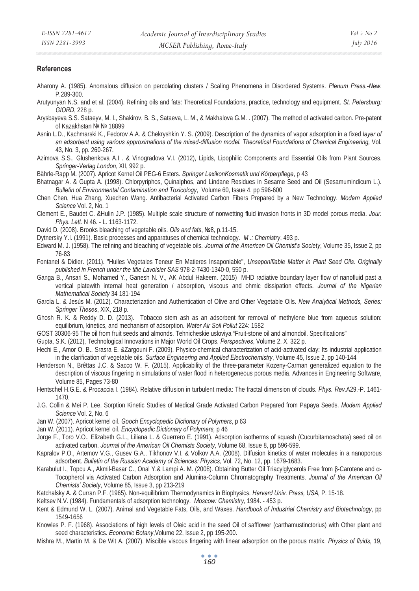#### **References**

- Aharony A. (1985). Anomalous diffusion on percolating clusters / Scaling Phenomena in Disordered Systems. *Plenum Press.-New.* P.289-300.
- Arutyunyan N.S. and et al. (2004). Refining oils and fats: Theoretical Foundations, practice, technology and equipment. *St. Petersburg: GIORD*, 228 p.
- Arysbayeva S.S. Sataeyv, M. I., Shakirov, B. S., Sataeva, L. M., & Makhalova G.M. . (2007). The method of activated carbon. Pre-patent of Kazakhstan № № 18899
- Asnin L.D., Kachmarski K., Fedorov A.A. & Chekryshkin Y. S. (2009). Description of the dynamics of vapor adsorption in a fixed *layer of an adsorbent using various approximations of the mixed-diffusion model. Theoretical Foundations of Chemical Engineering,* Vol. 43, No. 3, pp. 260-267.
- Azimova S.S., Glushenkova A.I . & Vinogradova V.I. (2012), Lipids, Lipophilic Components and Essential Oils from Plant Sources. *Springer-Verlag London*, XII, 992 p.

Bährle-Rapp M. (2007). Apricot Kernel Oil PEG-6 Esters. *Springer LexikonKosmetik und Körperpflege*, p 43

- Bhatnagar A. & Gupta A. (1998). Chlorpyriphos, Quinalphos, and Lindane Residues in Sesame Seed and Oil (Sesamumindicum L.). *Bulletin of Environmental Contamination and Toxicology*, Volume 60, Issue 4, pp 596-600
- Chen Chen, Hua Zhang, Xuechen Wang. Antibacterial Activated Carbon Fibers Prepared by a New Technology. *Modern Applied Science* Vol. 2, No. 1
- Clement E., Baudet C. &Hulin J.P. (1985). Multiple scale structure of nonwetting fluid invasion fronts in 3D model porous media. *Jour. Phys. Lett.* N 46. - L. 1163-1172.
- David D. (2008). Brooks bleaching of vegetable oils. Oils and fats, №8, p.11-15.
- Dytnersky Y.I. (1991). Basic processes and apparatuses of chemical technology. *M .: Chemistry*, 493 p.
- Edward M. J. (1958). The refining and bleaching of vegetable oils. *Journal of the American Oil Chemist's Society*, Volume 35, Issue 2, pp 76-83
- Fontanel & Didier. (2011). "Huiles Vegetales Teneur En Matieres Insaponiable", *Unsaponifiable Matter in Plant Seed Oils. Originally published in French under the title Lavoisier SAS* 978-2-7430-1340-0, 550 p.
- Ganga B., Ansari S., Mohamed Y., Ganesh N. V., AK Abdul Hakeem. (2015) MHD radiative boundary layer flow of nanofluid past a vertical platewith internal heat generation / absorption, viscous and ohmic dissipation effects. *Journal of the Nigerian Mathematical Society* 34 181-194
- García L. & Jesús M. (2012). Characterization and Authentication of Olive and Other Vegetable Oils. *New Analytical Methods, Series: Springer Theses*, XIX, 218 p.
- Ghosh R. K. & Reddy D. D. (2013). Tobacco stem ash as an adsorbent for removal of methylene blue from aqueous solution: equilibrium, kinetics, and mechanism of adsorption. *Water Air Soil Pollut* 224: 1582
- GOST 30306-95 The oil from fruit seeds and almonds. Tehnicheskie usloviya "Fruit-stone oil and almondoil. Specifications"
- Gupta, S.K. (2012), Technological Innovations in Major World Oil Crops. *Perspectives*, Volume 2. X. 322 p.
- Hechi E., Amor O. B., Srasra E. &Zargouni F. (2009). Physico-chemical characterization of acid-activated clay: Its industrial application in the clarification of vegetable oils. *Surface Engineering and Applied Electrochemistry*, Volume 45, Issue 2, pp 140-144
- Henderson N., Brêttas J.C. & Sacco W. F. (2015). Applicability of the three-parameter Kozeny-Carman generalized equation to the description of viscous fingering in simulations of water flood in heterogeneous porous media. Advances in Engineering Software, Volume 85, Pages 73-80
- Hentschel H.G.E. & Procaccia I. (1984). Relative diffusion in turbulent media: The fractal dimension of clouds. *Phys. Rev.*A29.-P. 1461- 1470.
- J.G. Collin & Mei P. Lee. Sorption Kinetic Studies of Medical Grade Activated Carbon Prepared from Papaya Seeds. *Modern Applied Science* Vol. 2, No. 6
- Jan W. (2007). Apricot kernel oil. *Gooch Encyclopedic Dictionary of Polymers*, p 63
- Jan W. (2011). Apricot kernel oil. *Encyclopedic Dictionary of Polymers,* p 46
- Jorge F., Toro V.O., Elizabeth G.L., Liliana L. & Guerrero E. (1991). Adsorption isotherms of squash (Cucurbitamoschata) seed oil on activated carbon. *Journal of the American Oil Chemists Society*, Volume 68, Issue 8, pp 596-599.
- Kapralov P.O., Artemov V.G., Gusev G.A., Tikhonov V.I. & Volkov A.A. (2008). Diffusion kinetics of water molecules in a nanoporous adsorbent*. Bulletin of the Russian Academy of Sciences: Physics,* Vol. 72, No. 12, pp. 1679-1683.
- Karabulut I., Topcu A., Akmil-Basar C., Onal Y.& Lampi A. M. (2008). Obtaining Butter Oil Triacylglycerols Free from ß-Carotene and  $\alpha$ -Tocopherol via Activated Carbon Adsorption and Alumina-Column Chromatography Treatments. *Journal of the American Oil Chemists' Society*, Volume 85, Issue 3, pp 213-219
- Katchalsky A. & Curran P.F. (1965). Non-equilibrium Thermodynamics in Biophysics. *Harvard Univ. Press, USA,* P. 15-18.
- Keltsev N.V. (1984). Fundamentals of adsorption technology. *Moscow: Chemistry,* 1984. 453 p.
- Kent & Edmund W. L. (2007). Animal and Vegetable Fats, Oils, and Waxes. *Handbook of Industrial Chemistry and Biotechnology*, pp 1549-1656
- Knowles P. F. (1968). Associations of high levels of Oleic acid in the seed Oil of safflower (carthamustinctorius) with Other plant and seed characteristics. *Economic Botany*,Volume 22, Issue 2, pp 195-200.
- Mishra M., Martin M. & De Wit A. (2007). Miscible viscous fingering with linear adsorption on the porous matrix. *Physics of fluids,* 19,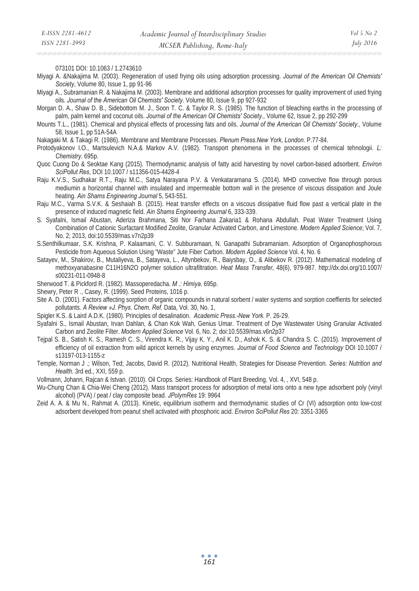073101 DOI: 10.1063 / 1.2743610

Miyagi A. &Nakajima M. (2003). Regeneration of used frying oils using adsorption processing. *Journal of the American Oil Chemists' Society*, Volume 80, Issue 1, pp 91-96

Miyagi A., Subramanian R. & Nakajima M. (2003). Membrane and additional adsorption processes for quality improvement of used frying oils. *Journal of the American Oil Chemists' Society.* Volume 80, Issue 9, pp 927-932

- Morgan D. A., Shaw D. B., Sidebottom M. J., Soon T. C. & Taylor R. S. (1985). The function of bleaching earths in the processing of palm, palm kernel and coconut oils. *Journal of the American Oil Chemists' Society.,* Volume 62, Issue 2, pp 292-299
- Mounts T.L., (1981). Chemical and physical effects of processing fats and oils. *Journal of the American Oil Chemists' Society.,* Volume 58, Issue 1, pp 51A-54A

Nakagaki M. & Takagi R. (1986). Membrane and Membrane Processes. *Plenum Press.New York, London.* P.77-84.

- Protodyakonov I.O., Martsulevich N.A.& Markov A.V. (1982). Transport phenomena in the processes of chemical tehnologii. *L: Chemistry*. 695p.
- Quoc Cuong Do & Seoktae Kang (2015). Thermodynamic analysis of fatty acid harvesting by novel carbon-based adsorbent. *Environ SciPollut Res*, DOI 10.1007 / s11356-015-4428-4
- Raju K.V.S., Sudhakar R.T., Raju M.C., Satya Narayana P.V. & Venkataramana S. (2014). MHD convective flow through porous mediumin a horizontal channel with insulated and impermeable bottom wall in the presence of viscous dissipation and Joule heating. *Ain Shams Engineering Journal* 5, 543-551.
- Raju M.C., Varma S.V.K. & Seshaiah B. (2015). Heat transfer effects on a viscous dissipative fluid flow past a vertical plate in the presence of induced magnetic field. *Ain Shams Engineering Journal* 6, 333-339.
- S. Syafalni, Ismail Abustan, Aderiza Brahmana, Siti Nor Farhana Zakaria1 & Rohana Abdullah. Peat Water Treatment Using Combination of Cationic Surfactant Modified Zeolite, Granular Activated Carbon, and Limestone. *Modern Applied Science*; Vol. 7, No. 2; 2013, doi:10.5539/mas.v7n2p39
- S.Senthilkumaar, S.K. Krishna, P. Kalaamani, C. V. Subburamaan, N. Ganapathi Subramaniam. Adsorption of Organophosphorous Pesticide from Aqueous Solution Using "Waste" Jute Fiber Carbon. *Modern Applied Science* Vol. 4, No. 6
- Satayev, M., Shakirov, B., Mutaliyeva, B., Satayeva, L., Altynbekov, R., Baiysbay, O., & Alibekov R. (2012). Mathematical modeling of methoxyanabasine ɋ11ɇ16N2O polymer solution ultrafiltration. *Heat Mass Transfer*, 48(6), 979-987. http://dx.doi.org/10.1007/ s00231-011-0948-8
- Sherwood T. & Pickford R. (1982). Massoperedacha. *M .: Himiya.* 695p.
- Shewry, Peter R ., Casey, R. (1999). Seed Proteins, 1016 p.
- Site A. D. (2001). Factors affecting sorption of organic compounds in natural sorbent / water systems and sorption coeffients for selected pollutants. *A Review »J. Phys. Chem. Ref.* Data, Vol. 30, No. 1,
- Spigler K.S. & Laird A.D.K. (1980). Principles of desalination. *Academic Press.-New York.* P. 26-29.
- Syafalni S., Ismail Abustan, Irvan Dahlan, & Chan Kok Wah, Genius Umar. Treatment of Dye Wastewater Using Granular Activated Carbon and Zeolite Filter. *Modern Applied Science* Vol. 6, No. 2; doi:10.5539/mas.v6n2p37
- Tejpal S. B., Satish K. S., Ramesh C. S., Virendra K. R., Vijay K. Y., Anil K. D., Ashok K. S. & Chandra S. C. (2015). Improvement of efficiency of oil extraction from wild apricot kernels by using enzymes. *Journal of Food Science and Technology* DOI 10.1007 / s13197-013-1155-z
- Temple, Norman J .; Wilson, Ted; Jacobs, David R. (2012). Nutritional Health, Strategies for Disease Prevention. *Series: Nutrition and Health*. 3rd ed., XXI, 559 p.
- Vollmann, Johann, Rajcan & Istvan. (2010). Oil Crops. Series: Handbook of Plant Breeding. Vol. 4, , XVI, 548 p.
- Wu-Chung Chan & Chia-Wei Cheng (2012). Mass transport process for adsorption of metal ions onto a new type adsorbent poly (vinyl alcohol) (PVA) / peat / clay composite bead. *JPolymRes* 19: 9964
- Zeid A. A. & Mu N., Rahmat A. (2013). Kinetic, equilibrium isotherm and thermodynamic studies of Cr (VI) adsorption onto low-cost adsorbent developed from peanut shell activated with phosphoric acid. *Environ SciPollut Res* 20: 3351-3365